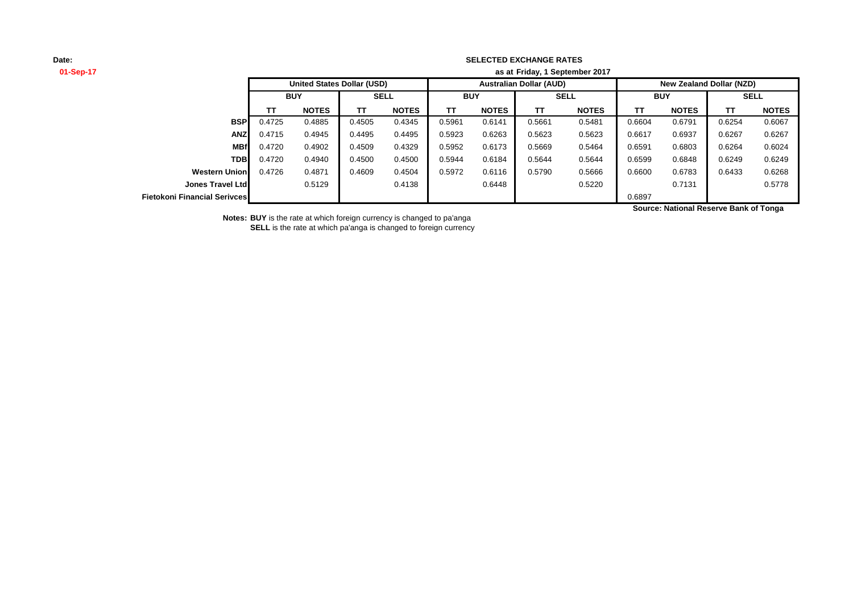#### **SELECTED EXCHANGE RATES**

| 01-Sep-17                    | as at Friday, 1 September 2017    |              |             |              |                                |              |             |              |                                 |              |             |              |
|------------------------------|-----------------------------------|--------------|-------------|--------------|--------------------------------|--------------|-------------|--------------|---------------------------------|--------------|-------------|--------------|
|                              | <b>United States Dollar (USD)</b> |              |             |              | <b>Australian Dollar (AUD)</b> |              |             |              | <b>New Zealand Dollar (NZD)</b> |              |             |              |
|                              | <b>BUY</b>                        |              | <b>SELL</b> |              | <b>BUY</b>                     |              | <b>SELL</b> |              | <b>BUY</b>                      |              | <b>SELL</b> |              |
|                              | <b>TT</b>                         | <b>NOTES</b> | TΤ          | <b>NOTES</b> | тт                             | <b>NOTES</b> | ΤT          | <b>NOTES</b> | ΤT                              | <b>NOTES</b> | TТ          | <b>NOTES</b> |
| <b>BSP</b>                   | 0.4725                            | 0.4885       | 0.4505      | 0.4345       | 0.5961                         | 0.6141       | 0.5661      | 0.5481       | 0.6604                          | 0.6791       | 0.6254      | 0.6067       |
| <b>ANZ</b>                   | 0.4715                            | 0.4945       | 0.4495      | 0.4495       | 0.5923                         | 0.6263       | 0.5623      | 0.5623       | 0.6617                          | 0.6937       | 0.6267      | 0.6267       |
| <b>MBf</b>                   | 0.4720                            | 0.4902       | 0.4509      | 0.4329       | 0.5952                         | 0.6173       | 0.5669      | 0.5464       | 0.6591                          | 0.6803       | 0.6264      | 0.6024       |
| <b>TDB</b>                   | 0.4720                            | 0.4940       | 0.4500      | 0.4500       | 0.5944                         | 0.6184       | 0.5644      | 0.5644       | 0.6599                          | 0.6848       | 0.6249      | 0.6249       |
| <b>Western Union</b>         | 0.4726                            | 0.4871       | 0.4609      | 0.4504       | 0.5972                         | 0.6116       | 0.5790      | 0.5666       | 0.6600                          | 0.6783       | 0.6433      | 0.6268       |
| <b>Jones Travel Ltdl</b>     |                                   | 0.5129       |             | 0.4138       |                                | 0.6448       |             | 0.5220       |                                 | 0.7131       |             | 0.5778       |
| Fietokoni Financial Serivces |                                   |              |             |              |                                |              |             |              | 0.6897                          |              |             |              |

**Source: National Reserve Bank of Tonga**

**Notes: BUY** is the rate at which foreign currency is changed to pa'anga

**SELL** is the rate at which pa'anga is changed to foreign currency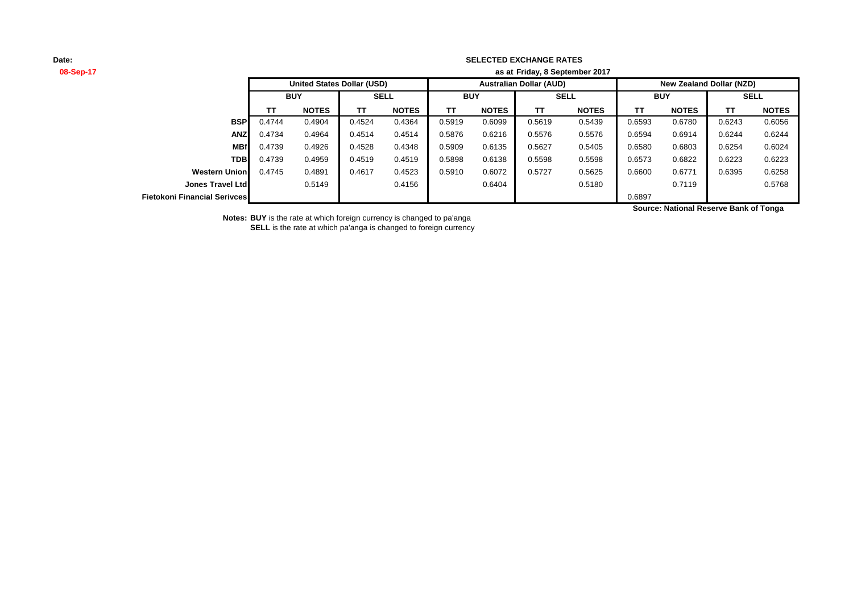#### **SELECTED EXCHANGE RATES**

**08-Sep-17 as at TT NOTES TT NOTES TT NOTES TT NOTES TT NOTES TT NOTES BSP** 0.4744 0.4904 0.4524 0.4364 0.5919 0.6099 0.5619 0.5439 0.6593 0.6780 0.6243 0.6056 **ANZ** 0.4734 0.4964 0.4514 0.4514 0.5876 0.6216 0.5576 0.5576 0.6594 0.6914 0.6244 0.6244 **MBf** 0.4739 0.4926 0.4528 0.4348 0.5909 0.6135 0.5627 0.5405 0.6580 0.6803 0.6254 0.6024 **TDB** 0.4739 0.4959 0.4519 0.4519 0.5898 0.6138 0.5598 0.5598 0.6573 0.6822 0.6223 0.6223 **Western Union** 0.4745 0.4891 0.4617 0.4523 0.5910 0.6072 0.5727 0.5625 0.6600 0.6771 0.6395 0.6258 **Jones Travel Ltd** 0.5149 0.4156 0.6404 0.5180 0.7119 0.5768 **Fietokoni Financial Serivces** 0.6897 **SELL United States Dollar (USD) Australian Dollar (AUD) New Zealand Dollar (NZD) BUY SELL BUY SELL BUY Friday, 8 September 2017**

**Source: National Reserve Bank of Tonga**

**Notes: BUY** is the rate at which foreign currency is changed to pa'anga

**SELL** is the rate at which pa'anga is changed to foreign currency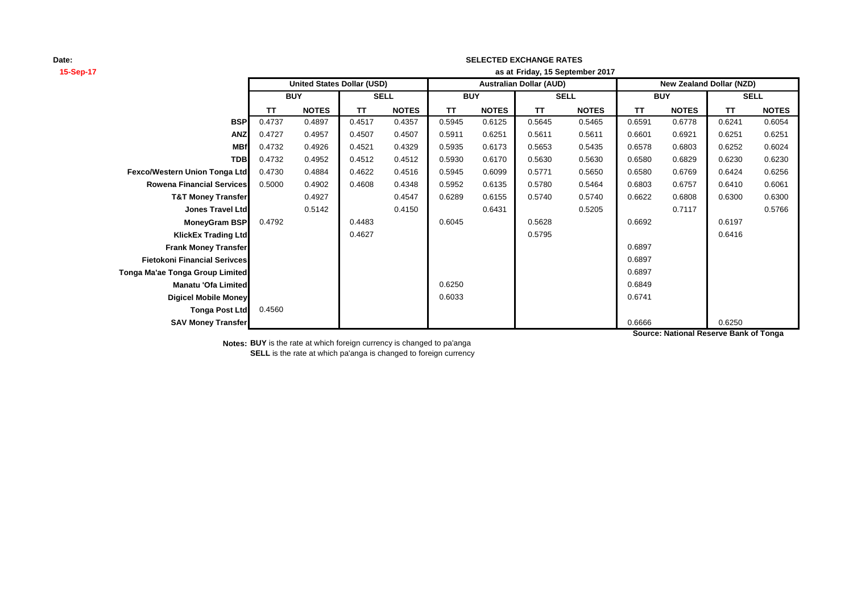# **15-Sep-17 as at TT NOTES TT NOTES TT NOTES TT NOTES TT NOTES TT NOTES BSP** 0.4737 0.4897 0.4517 0.4357 0.5945 0.6125 0.5645 0.5465 0.6591 0.6778 0.6241 0.6054 **ANZ** 0.4727 0.4957 0.4507 0.4507 0.5911 0.6251 0.5611 0.5611 0.6601 0.6921 0.6251 0.6251 **MBf** 0.4732 0.4926 0.4521 0.4329 0.5935 0.6173 0.5653 0.5435 0.6578 0.6803 0.6252 0.6024 **TDB** 0.4732 0.4952 0.4512 0.4512 0.5930 0.6170 0.5630 0.5630 0.6580 0.6829 0.6230 0.6230 **Fexco/Western Union Tonga Ltd** 0.4730 0.4884 0.4622 0.4516 0.5945 0.6099 0.5771 0.5650 0.6580 0.6769 0.6424 0.6256 **Rowena Financial Services** 0.5000 0.4902 0.4608 0.4348 0.5952 0.6135 0.5780 0.5464 0.6803 0.6757 0.6410 0.6061 **T&T Money Transfer** 0.4927 0.4547 0.6289 0.6155 0.5740 0.5740 0.6622 0.6808 0.6300 0.6300 **Jones Travel Ltd** 0.5142 0.4150 0.6431 0.5205 0.7117 0.5766 **MoneyGram BSP** 0.4792 0.4483 0.6045 0.5628 0.6692 0.6197 **KlickEx Trading Ltd** 0.4627 0.5795 0.6416 **Frank Money Transfer** 8 **Contract Contract Contract Contract Contract Contract Contract Contract Contract Contract Contract Contract Contract Contract Contract Contract Contract Contract Contract Contract Contract Contrac Fietokoni Financial Serivces** 0.6897 **Tonga Ma'ae Tonga Group Limited** 0.6897 **Manatu 'Ofa Limited** 0.6849 **Digicel Mobile Money 0.6741** 0.6741 0.6741 0.6741 **Tonga Post Ltd** 0.4560 **SAV Money Transfer** 0.6250 **SELL United States Dollar (USD) Australian Dollar (AUD) New Zealand Dollar (NZD) BUY SELL BUY SELL BUY Friday, 15 September 2017**

**SELECTED EXCHANGE RATES**

**Source: National Reserve Bank of Tonga**

**Notes: BUY** is the rate at which foreign currency is changed to pa'anga **SELL** is the rate at which pa'anga is changed to foreign currency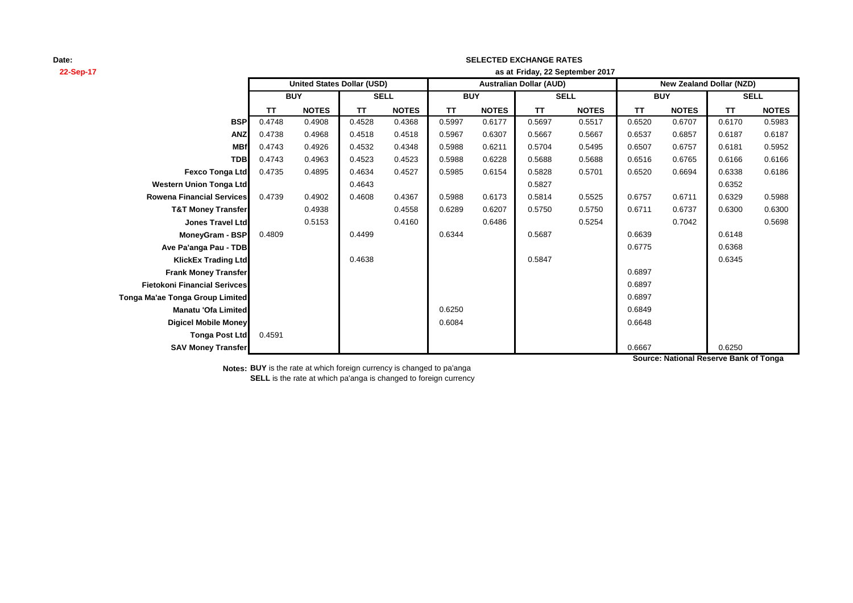# **22-Sep-17 as at TT NOTES TT NOTES TT NOTES TT NOTES TT NOTES TT NOTES BSP** 0.4748 0.4908 0.4528 0.4368 0.5997 0.6177 0.5697 0.5517 0.6520 0.6707 0.6170 0.5983 **ANZ** 0.4738 0.4968 0.4518 0.4518 0.5967 0.6307 0.5667 0.5667 0.6537 0.6857 0.6187 0.6187 **MBf** 0.4743 0.4926 0.4532 0.4348 0.5988 0.6211 0.5704 0.5495 0.6507 0.6757 0.6181 0.5952 **TDB** 0.4743 0.4963 0.4523 0.4523 0.5988 0.6228 0.5688 0.5688 0.6516 0.6765 0.6166 0.6166 **Fexco Tonga Ltd** 0.4735 0.4895 0.4634 0.4527 0.5985 0.6154 0.5828 0.5701 0.6520 0.6694 0.6338 0.6186 **Western Union Tonga Ltd 1.6352 0.6352 1.6352 1.6352 1.6352 1.6352 1.6352 1.6352 1.6352 1.6352 1.6352 1.6352 1.6352 Rowena Financial Services** 0.4739 0.4902 0.4608 0.4367 0.5988 0.6173 0.5814 0.5525 0.6757 0.6711 0.6329 0.5988 **T&T Money Transfer 0.4938 0.4558 0.6289 0.6207 0.5750 0.6711 0.6737 0.6300 0.6300 Jones Travel Ltd** 0.5153 0.4160 0.6486 0.5254 0.7042 0.5698 **MoneyGram - BSP** 0.4809 0.4499 0.6344 0.5687 0.6639 0.6148 **Ave Pa'anga Pau - TDB** 0.6368 **KlickEx Trading Ltd 1.6345 1.6345 1.6345 1.6345 1.6345 1.6345 1.6345 1.6345 1.6345 1.6345 1.6345 Frank Money Transfer** 8 (1996) **1999 12:30 12:30 12:30 12:30 12:30 12:30 12:30 12:30 12:30 12:30 12:30 12:30 12:30 12:30 12:30 12:30 12:30 12:30 12:30 12:30 12:30 12:30 12:30 12:30 12:30 12:30 12:30 12:30 12:30 12:30 12:3 Fietokoni Financial Serivces** 0.6897 **Tonga Ma'ae Tonga Group Limited** 0.6897 **Manatu 'Ofa Limited** 0.6249 **Digicel Mobile Money** 0.6648 **Tonga Post Ltd** 0.4591 **SAV Money Transfer** 0.6250 **SELL United States Dollar (USD) Australian Dollar (AUD) New Zealand Dollar (NZD) BUY SELL BUY SELL BUY Friday, 22 September 2017**

**SELECTED EXCHANGE RATES**

**Source: National Reserve Bank of Tonga**

**Notes: BUY** is the rate at which foreign currency is changed to pa'anga **SELL** is the rate at which pa'anga is changed to foreign currency